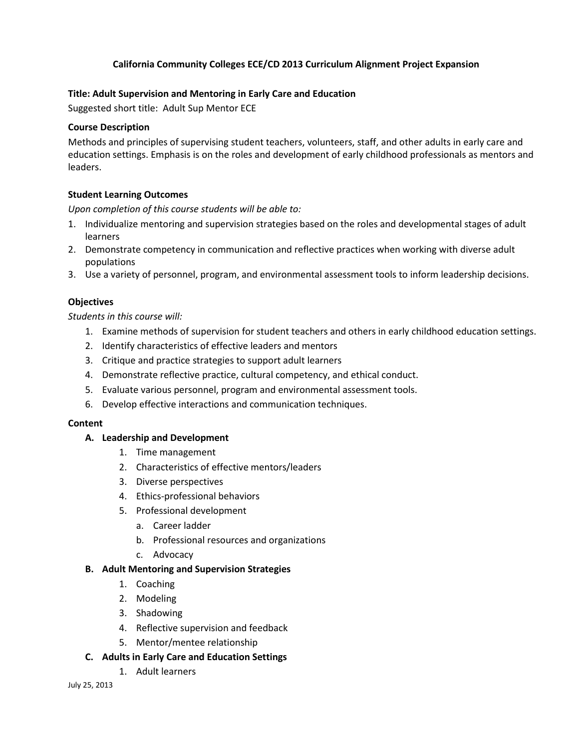# **California Community Colleges ECE/CD 2013 Curriculum Alignment Project Expansion**

## **Title: Adult Supervision and Mentoring in Early Care and Education**

Suggested short title: Adult Sup Mentor ECE

### **Course Description**

Methods and principles of supervising student teachers, volunteers, staff, and other adults in early care and education settings. Emphasis is on the roles and development of early childhood professionals as mentors and leaders.

### **Student Learning Outcomes**

*Upon completion of this course students will be able to:*

- 1. Individualize mentoring and supervision strategies based on the roles and developmental stages of adult learners
- 2. Demonstrate competency in communication and reflective practices when working with diverse adult populations
- 3. Use a variety of personnel, program, and environmental assessment tools to inform leadership decisions.

### **Objectives**

*Students in this course will:*

- 1. Examine methods of supervision for student teachers and others in early childhood education settings.
- 2. Identify characteristics of effective leaders and mentors
- 3. Critique and practice strategies to support adult learners
- 4. Demonstrate reflective practice, cultural competency, and ethical conduct.
- 5. Evaluate various personnel, program and environmental assessment tools.
- 6. Develop effective interactions and communication techniques.

#### **Content**

#### **A. Leadership and Development**

- 1. Time management
- 2. Characteristics of effective mentors/leaders
- 3. Diverse perspectives
- 4. Ethics-professional behaviors
- 5. Professional development
	- a. Career ladder
	- b. Professional resources and organizations
	- c. Advocacy

#### **B. Adult Mentoring and Supervision Strategies**

- 1. Coaching
- 2. Modeling
- 3. Shadowing
- 4. Reflective supervision and feedback
- 5. Mentor/mentee relationship

## **C. Adults in Early Care and Education Settings**

1. Adult learners